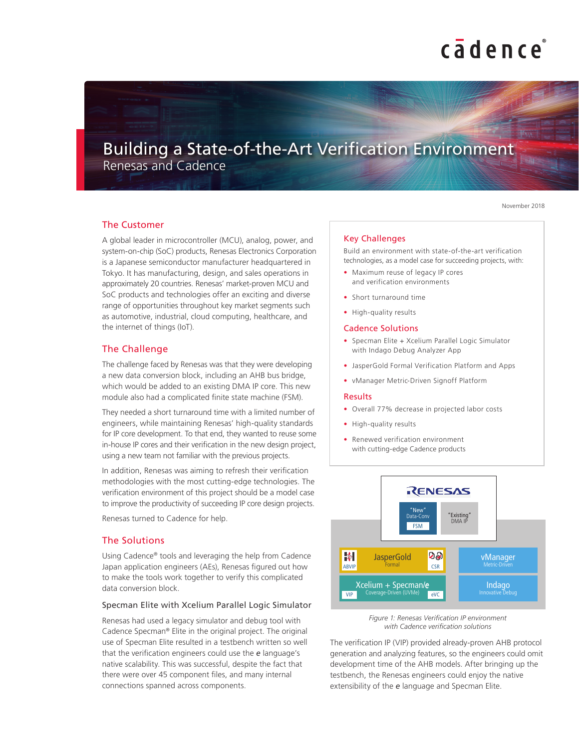# cadence

# Building a State-of-the-Art Verification Environment

Renesas and Cadence

November 2018

### The Customer

A global leader in microcontroller (MCU), analog, power, and system-on-chip (SoC) products, Renesas Electronics Corporation is a Japanese semiconductor manufacturer headquartered in Tokyo. It has manufacturing, design, and sales operations in approximately 20 countries. Renesas' market-proven MCU and SoC products and technologies offer an exciting and diverse range of opportunities throughout key market segments such as automotive, industrial, cloud computing, healthcare, and the internet of things (IoT).

## The Challenge

The challenge faced by Renesas was that they were developing a new data conversion block, including an AHB bus bridge, which would be added to an existing DMA IP core. This new module also had a complicated finite state machine (FSM).

They needed a short turnaround time with a limited number of engineers, while maintaining Renesas' high-quality standards for IP core development. To that end, they wanted to reuse some in-house IP cores and their verification in the new design project, using a new team not familiar with the previous projects.

In addition, Renesas was aiming to refresh their verification methodologies with the most cutting-edge technologies. The verification environment of this project should be a model case to improve the productivity of succeeding IP core design projects.

Renesas turned to Cadence for help.

## The Solutions

Using Cadence® tools and leveraging the help from Cadence Japan application engineers (AEs), Renesas figured out how to make the tools work together to verify this complicated data conversion block.

#### Specman Elite with Xcelium Parallel Logic Simulator

Renesas had used a legacy simulator and debug tool with Cadence Specman® Elite in the original project. The original use of Specman Elite resulted in a testbench written so well that the verification engineers could use the *e* language's native scalability. This was successful, despite the fact that there were over 45 component files, and many internal connections spanned across components.

#### Key Challenges

Build an environment with state-of-the-art verification technologies, as a model case for succeeding projects, with:

- Maximum reuse of legacy IP cores and verification environments
- Short turnaround time
- High-quality results

#### Cadence Solutions

- Specman Elite + Xcelium Parallel Logic Simulator with Indago Debug Analyzer App
- JasperGold Formal Verification Platform and Apps
- vManager Metric-Driven Signoff Platform

#### Results

- Overall 77% decrease in projected labor costs
- High-quality results
- Renewed verification environment with cutting-edge Cadence products



*Figure 1: Renesas Verification IP environment with Cadence verification solutions*

The verification IP (VIP) provided already-proven AHB protocol generation and analyzing features, so the engineers could omit development time of the AHB models. After bringing up the testbench, the Renesas engineers could enjoy the native extensibility of the *e* language and Specman Elite.